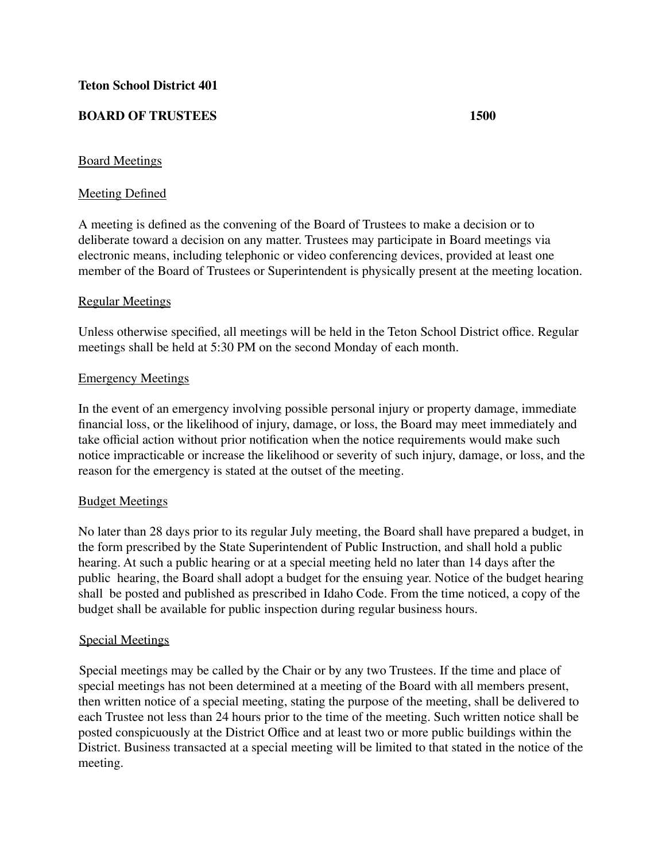# **BOARD OF TRUSTEES 1500**

## Board Meetings

### Meeting Defined

A meeting is defined as the convening of the Board of Trustees to make a decision or to deliberate toward a decision on any matter. Trustees may participate in Board meetings via electronic means, including telephonic or video conferencing devices, provided at least one member of the Board of Trustees or Superintendent is physically present at the meeting location.

### Regular Meetings

Unless otherwise specified, all meetings will be held in the Teton School District office. Regular meetings shall be held at 5:30 PM on the second Monday of each month.

### Emergency Meetings

In the event of an emergency involving possible personal injury or property damage, immediate financial loss, or the likelihood of injury, damage, or loss, the Board may meet immediately and take official action without prior notification when the notice requirements would make such notice impracticable or increase the likelihood or severity of such injury, damage, or loss, and the reason for the emergency is stated at the outset of the meeting.

#### Budget Meetings

No later than 28 days prior to its regular July meeting, the Board shall have prepared a budget, in the form prescribed by the State Superintendent of Public Instruction, and shall hold a public hearing. At such a public hearing or at a special meeting held no later than 14 days after the public hearing, the Board shall adopt a budget for the ensuing year. Notice of the budget hearing shall be posted and published as prescribed in Idaho Code. From the time noticed, a copy of the budget shall be available for public inspection during regular business hours.

#### Special Meetings

Special meetings may be called by the Chair or by any two Trustees. If the time and place of special meetings has not been determined at a meeting of the Board with all members present, then written notice of a special meeting, stating the purpose of the meeting, shall be delivered to each Trustee not less than 24 hours prior to the time of the meeting. Such written notice shall be posted conspicuously at the District Office and at least two or more public buildings within the District. Business transacted at a special meeting will be limited to that stated in the notice of the meeting.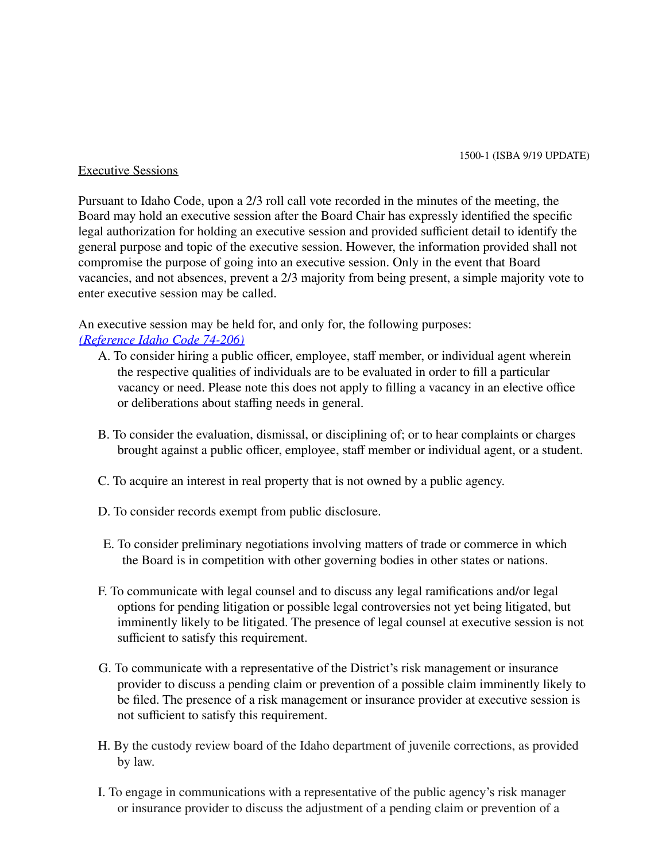#### Executive Sessions

Pursuant to Idaho Code, upon a 2/3 roll call vote recorded in the minutes of the meeting, the Board may hold an executive session after the Board Chair has expressly identified the specific legal authorization for holding an executive session and provided sufficient detail to identify the general purpose and topic of the executive session. However, the information provided shall not compromise the purpose of going into an executive session. Only in the event that Board vacancies, and not absences, prevent a 2/3 majority from being present, a simple majority vote to enter executive session may be called.

An executive session may be held for, and only for, the following purposes: *(Reference Idaho Code 74-206)*

- A. To consider hiring a public officer, employee, staff member, or individual agent wherein the respective qualities of individuals are to be evaluated in order to fill a particular vacancy or need. Please note this does not apply to filling a vacancy in an elective office or deliberations about staffing needs in general.
- B. To consider the evaluation, dismissal, or disciplining of; or to hear complaints or charges brought against a public officer, employee, staff member or individual agent, or a student.
- C. To acquire an interest in real property that is not owned by a public agency.
- D. To consider records exempt from public disclosure.
- E. To consider preliminary negotiations involving matters of trade or commerce in which the Board is in competition with other governing bodies in other states or nations.
- F. To communicate with legal counsel and to discuss any legal ramifications and/or legal options for pending litigation or possible legal controversies not yet being litigated, but imminently likely to be litigated. The presence of legal counsel at executive session is not sufficient to satisfy this requirement.
- G. To communicate with a representative of the District's risk management or insurance provider to discuss a pending claim or prevention of a possible claim imminently likely to be filed. The presence of a risk management or insurance provider at executive session is not sufficient to satisfy this requirement.
- H. By the custody review board of the Idaho department of juvenile corrections, as provided by law.
- I. To engage in communications with a representative of the public agency's risk manager or insurance provider to discuss the adjustment of a pending claim or prevention of a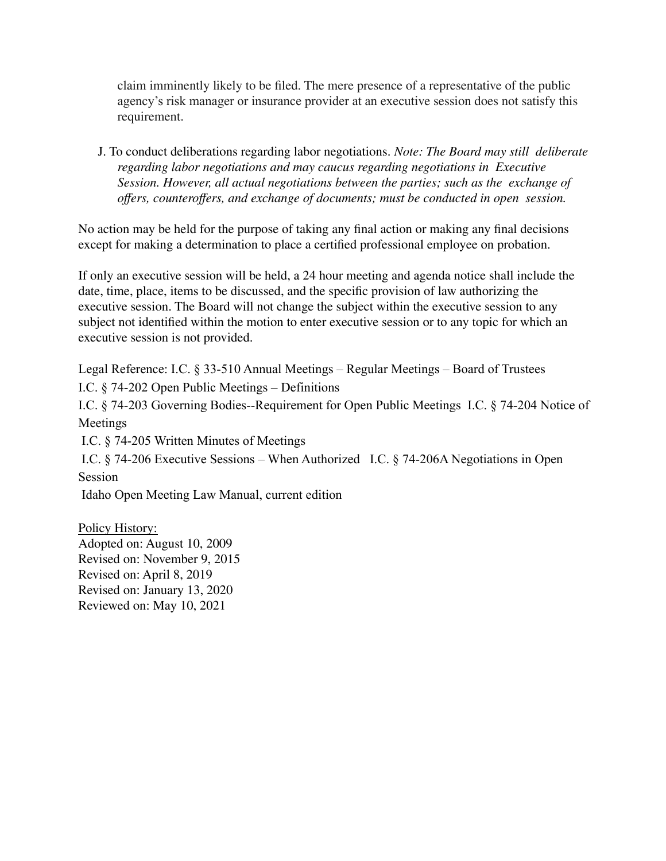claim imminently likely to be filed. The mere presence of a representative of the public agency's risk manager or insurance provider at an executive session does not satisfy this requirement.

J. To conduct deliberations regarding labor negotiations. *Note: The Board may still deliberate regarding labor negotiations and may caucus regarding negotiations in Executive Session. However, all actual negotiations between the parties; such as the exchange of offers, counteroffers, and exchange of documents; must be conducted in open session.*

No action may be held for the purpose of taking any final action or making any final decisions except for making a determination to place a certified professional employee on probation.

If only an executive session will be held, a 24 hour meeting and agenda notice shall include the date, time, place, items to be discussed, and the specific provision of law authorizing the executive session. The Board will not change the subject within the executive session to any subject not identified within the motion to enter executive session or to any topic for which an executive session is not provided.

Legal Reference: I.C. § 33-510 Annual Meetings – Regular Meetings – Board of Trustees I.C. § 74-202 Open Public Meetings – Definitions

I.C. § 74-203 Governing Bodies--Requirement for Open Public Meetings I.C. § 74-204 Notice of Meetings

I.C. § 74-205 Written Minutes of Meetings

I.C. § 74-206 Executive Sessions – When Authorized I.C. § 74-206A Negotiations in Open Session

Idaho Open Meeting Law Manual, current edition

Policy History: Adopted on: August 10, 2009 Revised on: November 9, 2015 Revised on: April 8, 2019 Revised on: January 13, 2020 Reviewed on: May 10, 2021